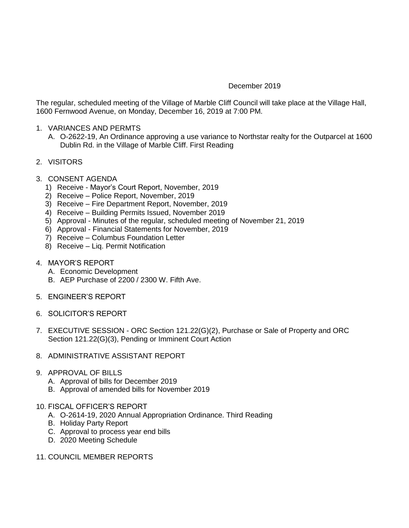## December 2019

The regular, scheduled meeting of the Village of Marble Cliff Council will take place at the Village Hall, 1600 Fernwood Avenue, on Monday, December 16, 2019 at 7:00 PM.

- 1. VARIANCES AND PERMTS
	- A. O-2622-19, An Ordinance approving a use variance to Northstar realty for the Outparcel at 1600 Dublin Rd. in the Village of Marble Cliff. First Reading
- 2. VISITORS
- 3. CONSENT AGENDA
	- 1) Receive Mayor's Court Report, November, 2019
	- 2) Receive Police Report, November, 2019
	- 3) Receive Fire Department Report, November, 2019
	- 4) Receive Building Permits Issued, November 2019
	- 5) Approval Minutes of the regular, scheduled meeting of November 21, 2019
	- 6) Approval Financial Statements for November, 2019
	- 7) Receive Columbus Foundation Letter
	- 8) Receive Liq. Permit Notification
- 4. MAYOR'S REPORT
	- A. Economic Development
	- B. AEP Purchase of 2200 / 2300 W. Fifth Ave.
- 5. ENGINEER'S REPORT
- 6. SOLICITOR'S REPORT
- 7. EXECUTIVE SESSION ORC Section 121.22(G)(2), Purchase or Sale of Property and ORC Section 121.22(G)(3), Pending or Imminent Court Action
- 8. ADMINISTRATIVE ASSISTANT REPORT
- 9. APPROVAL OF BILLS
	- A. Approval of bills for December 2019
	- B. Approval of amended bills for November 2019
- 10. FISCAL OFFICER'S REPORT
	- A. O-2614-19, 2020 Annual Appropriation Ordinance. Third Reading
	- B. Holiday Party Report
	- C. Approval to process year end bills
	- D. 2020 Meeting Schedule
- 11. COUNCIL MEMBER REPORTS